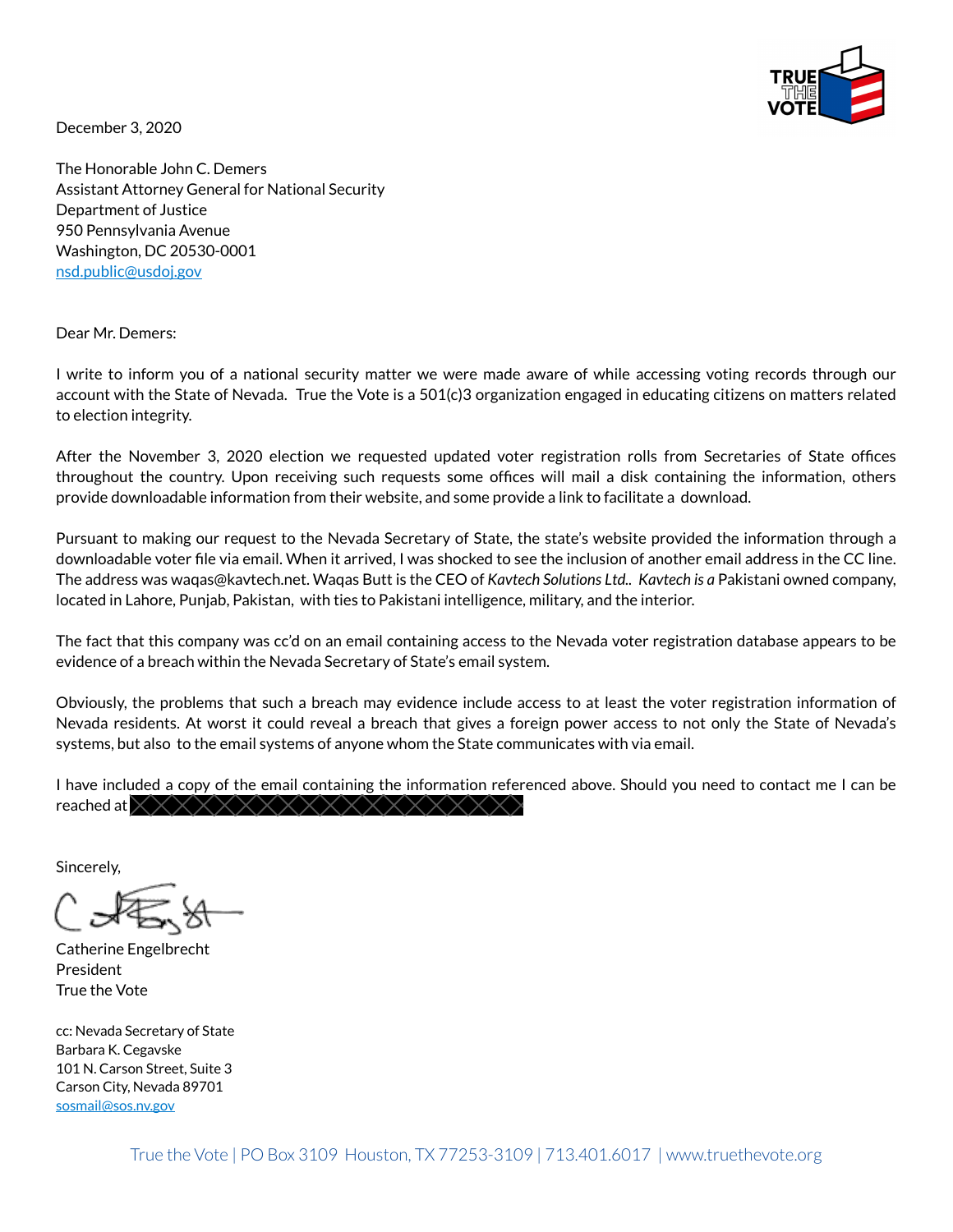

December 3, 2020

The Honorable John C. Demers Assistant Attorney General for National Security Department of Justice 950 Pennsylvania Avenue Washington, DC 20530-0001 [nsd.public@usdoj.gov](mailto:nsd.public@usdoj.gov) 

Dear Mr. Demers:

I write to inform you of a national security matter we were made aware of while accessing voting records through our account with the State of Nevada. True the Vote is a 501(c)3 organization engaged in educating citizens on matters related to election integrity.

After the November 3, 2020 election we requested updated voter registration rolls from Secretaries of State offices throughout the country. Upon receiving such requests some offices will mail a disk containing the information, others provide downloadable information from their website, and some provide a link to facilitate a download.

Pursuant to making our request to the Nevada Secretary of State, the state's website provided the information through a downloadable voter file via email. When it arrived, I was shocked to see the inclusion of another email address in the CC line. The address was waqas@kavtech.net. Waqas Butt is the CEO of *Kavtech Solutions Ltd.. Kavtech is a* Pakistani owned company, located in Lahore, Punjab, Pakistan, with ties to Pakistani intelligence, military, and the interior.

The fact that this company was cc'd on an email containing access to the Nevada voter registration database appears to be evidence of a breach within the Nevada Secretary of State's email system.

Obviously, the problems that such a breach may evidence include access to at least the voter registration information of Nevada residents. At worst it could reveal a breach that gives a foreign power access to not only the State of Nevada's systems, but also to the email systems of anyone whom the State communicates with via email.

I have included a copy of the email containing the information referenced above. Should you need to contact me I can be reached at  $\times\times$ 

Sincerely,

Catherine Engelbrecht President True the Vote

cc: Nevada Secretary of State Barbara K. Cegavske 101 N. Carson Street, Suite 3 Carson City, Nevada 89701 [sosmail@sos.nv.gov](mailto:sosmail@sos.nv.gov)